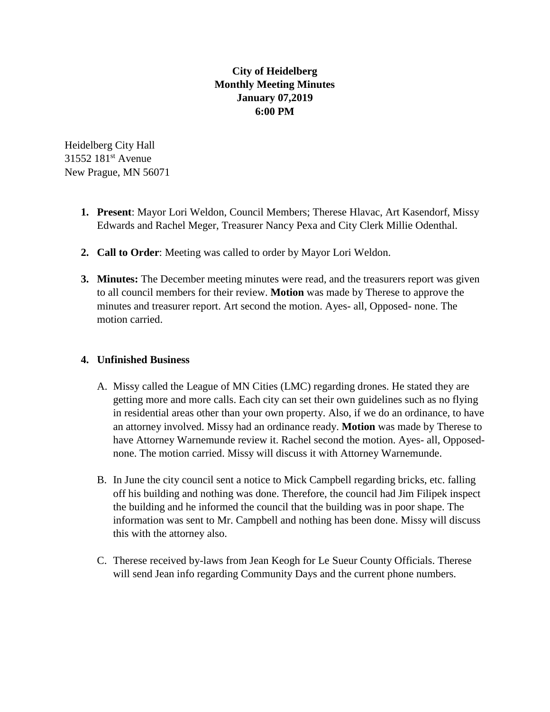## **City of Heidelberg Monthly Meeting Minutes January 07,2019 6:00 PM**

Heidelberg City Hall 31552 181<sup>st</sup> Avenue New Prague, MN 56071

- **1. Present**: Mayor Lori Weldon, Council Members; Therese Hlavac, Art Kasendorf, Missy Edwards and Rachel Meger, Treasurer Nancy Pexa and City Clerk Millie Odenthal.
- **2. Call to Order**: Meeting was called to order by Mayor Lori Weldon.
- **3. Minutes:** The December meeting minutes were read, and the treasurers report was given to all council members for their review. **Motion** was made by Therese to approve the minutes and treasurer report. Art second the motion. Ayes- all, Opposed- none. The motion carried.

## **4. Unfinished Business**

- A. Missy called the League of MN Cities (LMC) regarding drones. He stated they are getting more and more calls. Each city can set their own guidelines such as no flying in residential areas other than your own property. Also, if we do an ordinance, to have an attorney involved. Missy had an ordinance ready. **Motion** was made by Therese to have Attorney Warnemunde review it. Rachel second the motion. Ayes- all, Opposednone. The motion carried. Missy will discuss it with Attorney Warnemunde.
- B. In June the city council sent a notice to Mick Campbell regarding bricks, etc. falling off his building and nothing was done. Therefore, the council had Jim Filipek inspect the building and he informed the council that the building was in poor shape. The information was sent to Mr. Campbell and nothing has been done. Missy will discuss this with the attorney also.
- C. Therese received by-laws from Jean Keogh for Le Sueur County Officials. Therese will send Jean info regarding Community Days and the current phone numbers.